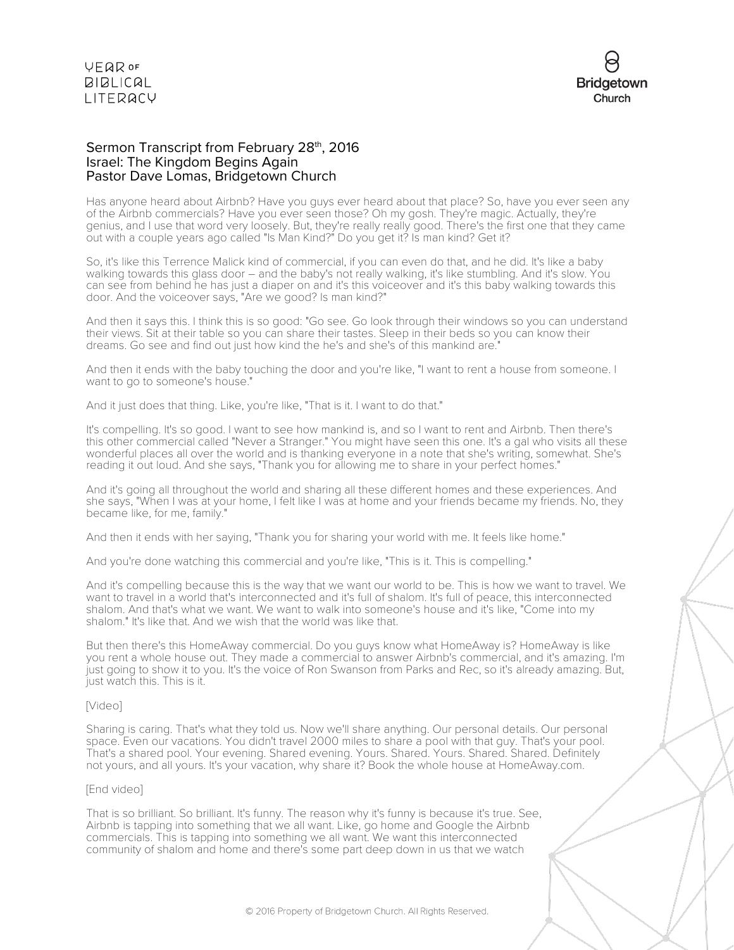

#### Sermon Transcript from February 28<sup>th</sup>, 2016 Israel: The Kingdom Begins Again Pastor Dave Lomas, Bridgetown Church

Has anyone heard about Airbnb? Have you guys ever heard about that place? So, have you ever seen any of the Airbnb commercials? Have you ever seen those? Oh my gosh. They're magic. Actually, they're genius, and I use that word very loosely. But, they're really really good. There's the first one that they came out with a couple years ago called "Is Man Kind?" Do you get it? Is man kind? Get it?

So, it's like this Terrence Malick kind of commercial, if you can even do that, and he did. It's like a baby walking towards this glass door – and the baby's not really walking, it's like stumbling. And it's slow. You can see from behind he has just a diaper on and it's this voiceover and it's this baby walking towards this door. And the voiceover says, "Are we good? Is man kind?"

And then it says this. I think this is so good: "Go see. Go look through their windows so you can understand their views. Sit at their table so you can share their tastes. Sleep in their beds so you can know their dreams. Go see and find out just how kind the he's and she's of this mankind are."

And then it ends with the baby touching the door and you're like, "I want to rent a house from someone. I want to go to someone's house."

And it just does that thing. Like, you're like, "That is it. I want to do that."

It's compelling. It's so good. I want to see how mankind is, and so I want to rent and Airbnb. Then there's this other commercial called "Never a Stranger." You might have seen this one. It's a gal who visits all these wonderful places all over the world and is thanking everyone in a note that she's writing, somewhat. She's reading it out loud. And she says, "Thank you for allowing me to share in your perfect homes."

And it's going all throughout the world and sharing all these different homes and these experiences. And she says, "When I was at your home, I felt like I was at home and your friends became my friends. No, they became like, for me, family."

And then it ends with her saying, "Thank you for sharing your world with me. It feels like home."

And you're done watching this commercial and you're like, "This is it. This is compelling."

And it's compelling because this is the way that we want our world to be. This is how we want to travel. We want to travel in a world that's interconnected and it's full of shalom. It's full of peace, this interconnected shalom. And that's what we want. We want to walk into someone's house and it's like, "Come into my shalom." It's like that. And we wish that the world was like that.

But then there's this HomeAway commercial. Do you guys know what HomeAway is? HomeAway is like you rent a whole house out. They made a commercial to answer Airbnb's commercial, and it's amazing. I'm just going to show it to you. It's the voice of Ron Swanson from Parks and Rec, so it's already amazing. But, just watch this. This is it.

#### [Video]

Sharing is caring. That's what they told us. Now we'll share anything. Our personal details. Our personal space. Even our vacations. You didn't travel 2000 miles to share a pool with that guy. That's your pool. That's a shared pool. Your evening. Shared evening. Yours. Shared. Yours. Shared. Shared. Definitely not yours, and all yours. It's your vacation, why share it? Book the whole house at HomeAway.com.

#### [End video]

That is so brilliant. So brilliant. It's funny. The reason why it's funny is because it's true. See, Airbnb is tapping into something that we all want. Like, go home and Google the Airbnb commercials. This is tapping into something we all want. We want this interconnected community of shalom and home and there's some part deep down in us that we watch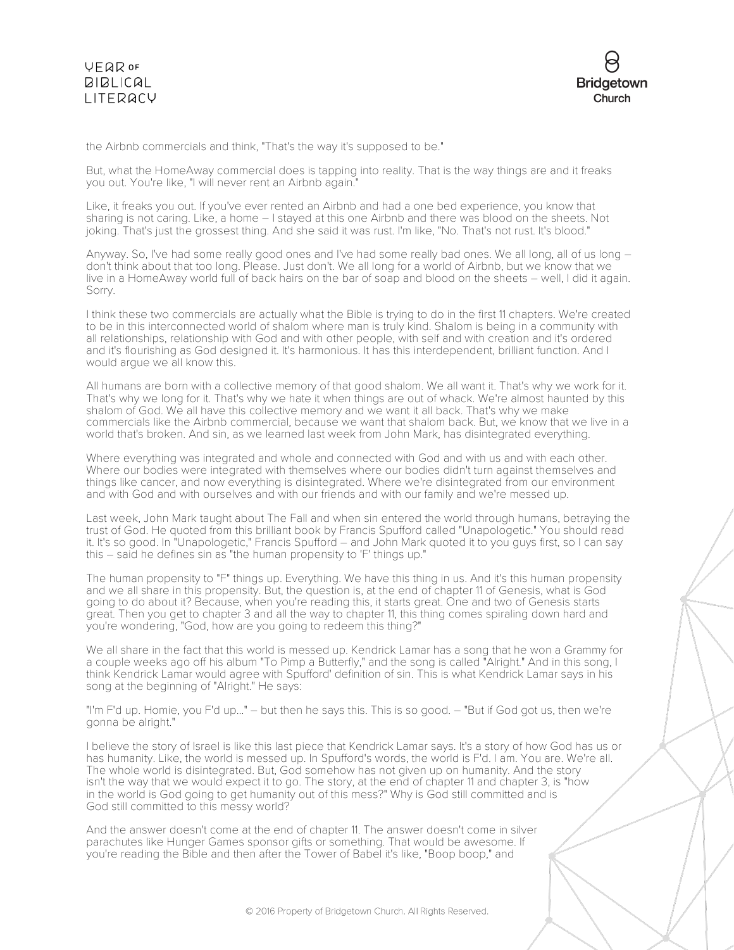

the Airbnb commercials and think, "That's the way it's supposed to be."

But, what the HomeAway commercial does is tapping into reality. That is the way things are and it freaks you out. You're like, "I will never rent an Airbnb again."

Like, it freaks you out. If you've ever rented an Airbnb and had a one bed experience, you know that sharing is not caring. Like, a home – I stayed at this one Airbnb and there was blood on the sheets. Not joking. That's just the grossest thing. And she said it was rust. I'm like, "No. That's not rust. It's blood."

Anyway. So, I've had some really good ones and I've had some really bad ones. We all long, all of us long – don't think about that too long. Please. Just don't. We all long for a world of Airbnb, but we know that we live in a HomeAway world full of back hairs on the bar of soap and blood on the sheets – well, I did it again. Sorry.

I think these two commercials are actually what the Bible is trying to do in the first 11 chapters. We're created to be in this interconnected world of shalom where man is truly kind. Shalom is being in a community with all relationships, relationship with God and with other people, with self and with creation and it's ordered and it's flourishing as God designed it. It's harmonious. It has this interdependent, brilliant function. And I would argue we all know this.

All humans are born with a collective memory of that good shalom. We all want it. That's why we work for it. That's why we long for it. That's why we hate it when things are out of whack. We're almost haunted by this shalom of God. We all have this collective memory and we want it all back. That's why we make commercials like the Airbnb commercial, because we want that shalom back. But, we know that we live in a world that's broken. And sin, as we learned last week from John Mark, has disintegrated everything.

Where everything was integrated and whole and connected with God and with us and with each other. Where our bodies were integrated with themselves where our bodies didn't turn against themselves and things like cancer, and now everything is disintegrated. Where we're disintegrated from our environment and with God and with ourselves and with our friends and with our family and we're messed up.

Last week, John Mark taught about The Fall and when sin entered the world through humans, betraying the trust of God. He quoted from this brilliant book by Francis Spufford called "Unapologetic." You should read it. It's so good. In "Unapologetic," Francis Spufford – and John Mark quoted it to you guys first, so I can say this – said he defines sin as "the human propensity to 'F' things up."

The human propensity to "F" things up. Everything. We have this thing in us. And it's this human propensity and we all share in this propensity. But, the question is, at the end of chapter 11 of Genesis, what is God going to do about it? Because, when you're reading this, it starts great. One and two of Genesis starts great. Then you get to chapter 3 and all the way to chapter 11, this thing comes spiraling down hard and you're wondering, "God, how are you going to redeem this thing?"

We all share in the fact that this world is messed up. Kendrick Lamar has a song that he won a Grammy for a couple weeks ago off his album "To Pimp a Butterfly," and the song is called "Alright." And in this song, I think Kendrick Lamar would agree with Spufford' definition of sin. This is what Kendrick Lamar says in his song at the beginning of "Alright." He says:

"I'm F'd up. Homie, you F'd up..." – but then he says this. This is so good. – "But if God got us, then we're gonna be alright."

I believe the story of Israel is like this last piece that Kendrick Lamar says. It's a story of how God has us or has humanity. Like, the world is messed up. In Spufford's words, the world is F'd. I am. You are. We're all. The whole world is disintegrated. But, God somehow has not given up on humanity. And the story isn't the way that we would expect it to go. The story, at the end of chapter 11 and chapter 3, is "how in the world is God going to get humanity out of this mess?" Why is God still committed and is God still committed to this messy world?

And the answer doesn't come at the end of chapter 11. The answer doesn't come in silver parachutes like Hunger Games sponsor gifts or something. That would be awesome. If you're reading the Bible and then after the Tower of Babel it's like, "Boop boop," and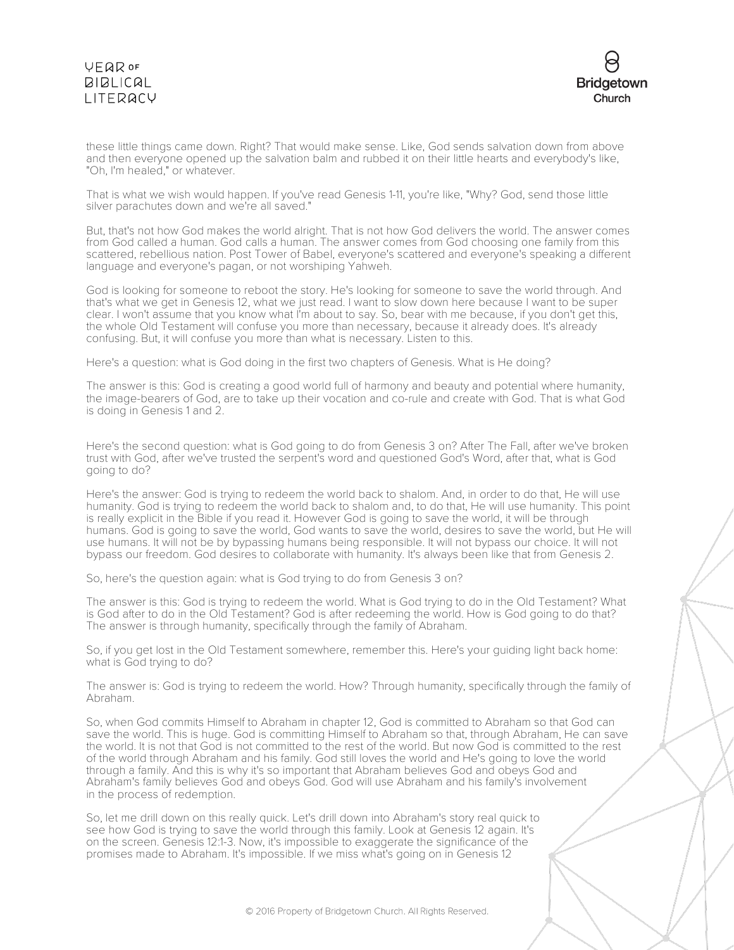

these little things came down. Right? That would make sense. Like, God sends salvation down from above and then everyone opened up the salvation balm and rubbed it on their little hearts and everybody's like, "Oh, I'm healed," or whatever.

That is what we wish would happen. If you've read Genesis 1-11, you're like, "Why? God, send those little silver parachutes down and we're all saved."

But, that's not how God makes the world alright. That is not how God delivers the world. The answer comes from God called a human. God calls a human. The answer comes from God choosing one family from this scattered, rebellious nation. Post Tower of Babel, everyone's scattered and everyone's speaking a different language and everyone's pagan, or not worshiping Yahweh.

God is looking for someone to reboot the story. He's looking for someone to save the world through. And that's what we get in Genesis 12, what we just read. I want to slow down here because I want to be super clear. I won't assume that you know what I'm about to say. So, bear with me because, if you don't get this, the whole Old Testament will confuse you more than necessary, because it already does. It's already confusing. But, it will confuse you more than what is necessary. Listen to this.

Here's a question: what is God doing in the first two chapters of Genesis. What is He doing?

The answer is this: God is creating a good world full of harmony and beauty and potential where humanity, the image-bearers of God, are to take up their vocation and co-rule and create with God. That is what God is doing in Genesis 1 and 2.

Here's the second question: what is God going to do from Genesis 3 on? After The Fall, after we've broken trust with God, after we've trusted the serpent's word and questioned God's Word, after that, what is God going to do?

Here's the answer: God is trying to redeem the world back to shalom. And, in order to do that, He will use humanity. God is trying to redeem the world back to shalom and, to do that, He will use humanity. This point is really explicit in the Bible if you read it. However God is going to save the world, it will be through humans. God is going to save the world, God wants to save the world, desires to save the world, but He will use humans. It will not be by bypassing humans being responsible. It will not bypass our choice. It will not bypass our freedom. God desires to collaborate with humanity. It's always been like that from Genesis 2.

So, here's the question again: what is God trying to do from Genesis 3 on?

The answer is this: God is trying to redeem the world. What is God trying to do in the Old Testament? What is God after to do in the Old Testament? God is after redeeming the world. How is God going to do that? The answer is through humanity, specifically through the family of Abraham.

So, if you get lost in the Old Testament somewhere, remember this. Here's your guiding light back home: what is God trying to do?

The answer is: God is trying to redeem the world. How? Through humanity, specifically through the family of Abraham.

So, when God commits Himself to Abraham in chapter 12, God is committed to Abraham so that God can save the world. This is huge. God is committing Himself to Abraham so that, through Abraham, He can save the world. It is not that God is not committed to the rest of the world. But now God is committed to the rest of the world through Abraham and his family. God still loves the world and He's going to love the world through a family. And this is why it's so important that Abraham believes God and obeys God and Abraham's family believes God and obeys God. God will use Abraham and his family's involvement in the process of redemption.

So, let me drill down on this really quick. Let's drill down into Abraham's story real quick to see how God is trying to save the world through this family. Look at Genesis 12 again. It's on the screen. Genesis 12:1-3. Now, it's impossible to exaggerate the significance of the promises made to Abraham. It's impossible. If we miss what's going on in Genesis 12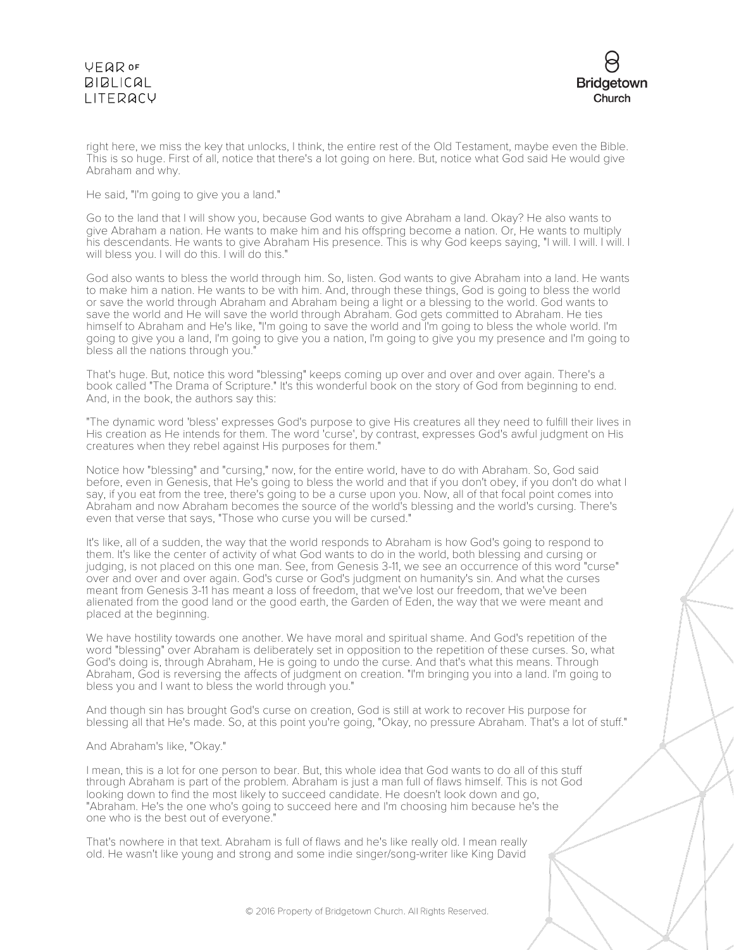

right here, we miss the key that unlocks, I think, the entire rest of the Old Testament, maybe even the Bible. This is so huge. First of all, notice that there's a lot going on here. But, notice what God said He would give Abraham and why.

He said, "I'm going to give you a land."

Go to the land that I will show you, because God wants to give Abraham a land. Okay? He also wants to give Abraham a nation. He wants to make him and his offspring become a nation. Or, He wants to multiply his descendants. He wants to give Abraham His presence. This is why God keeps saying, "I will. I will. I will. I will bless you. I will do this. I will do this."

God also wants to bless the world through him. So, listen. God wants to give Abraham into a land. He wants to make him a nation. He wants to be with him. And, through these things, God is going to bless the world or save the world through Abraham and Abraham being a light or a blessing to the world. God wants to save the world and He will save the world through Abraham. God gets committed to Abraham. He ties himself to Abraham and He's like, "I'm going to save the world and I'm going to bless the whole world. I'm going to give you a land, I'm going to give you a nation, I'm going to give you my presence and I'm going to bless all the nations through you."

That's huge. But, notice this word "blessing" keeps coming up over and over and over again. There's a book called "The Drama of Scripture." It's this wonderful book on the story of God from beginning to end. And, in the book, the authors say this:

"The dynamic word 'bless' expresses God's purpose to give His creatures all they need to fulfill their lives in His creation as He intends for them. The word 'curse', by contrast, expresses God's awful judgment on His creatures when they rebel against His purposes for them."

Notice how "blessing" and "cursing," now, for the entire world, have to do with Abraham. So, God said before, even in Genesis, that He's going to bless the world and that if you don't obey, if you don't do what I say, if you eat from the tree, there's going to be a curse upon you. Now, all of that focal point comes into Abraham and now Abraham becomes the source of the world's blessing and the world's cursing. There's even that verse that says, "Those who curse you will be cursed."

It's like, all of a sudden, the way that the world responds to Abraham is how God's going to respond to them. It's like the center of activity of what God wants to do in the world, both blessing and cursing or judging, is not placed on this one man. See, from Genesis 3-11, we see an occurrence of this word "curse" over and over and over again. God's curse or God's judgment on humanity's sin. And what the curses meant from Genesis 3-11 has meant a loss of freedom, that we've lost our freedom, that we've been alienated from the good land or the good earth, the Garden of Eden, the way that we were meant and placed at the beginning.

We have hostility towards one another. We have moral and spiritual shame. And God's repetition of the word "blessing" over Abraham is deliberately set in opposition to the repetition of these curses. So, what God's doing is, through Abraham, He is going to undo the curse. And that's what this means. Through Abraham, God is reversing the affects of judgment on creation. "I'm bringing you into a land. I'm going to bless you and I want to bless the world through you."

And though sin has brought God's curse on creation, God is still at work to recover His purpose for blessing all that He's made. So, at this point you're going, "Okay, no pressure Abraham. That's a lot of stuff."

#### And Abraham's like, "Okay."

I mean, this is a lot for one person to bear. But, this whole idea that God wants to do all of this stuff through Abraham is part of the problem. Abraham is just a man full of flaws himself. This is not God looking down to find the most likely to succeed candidate. He doesn't look down and go, "Abraham. He's the one who's going to succeed here and I'm choosing him because he's the one who is the best out of everyone."

That's nowhere in that text. Abraham is full of flaws and he's like really old. I mean really old. He wasn't like young and strong and some indie singer/song-writer like King David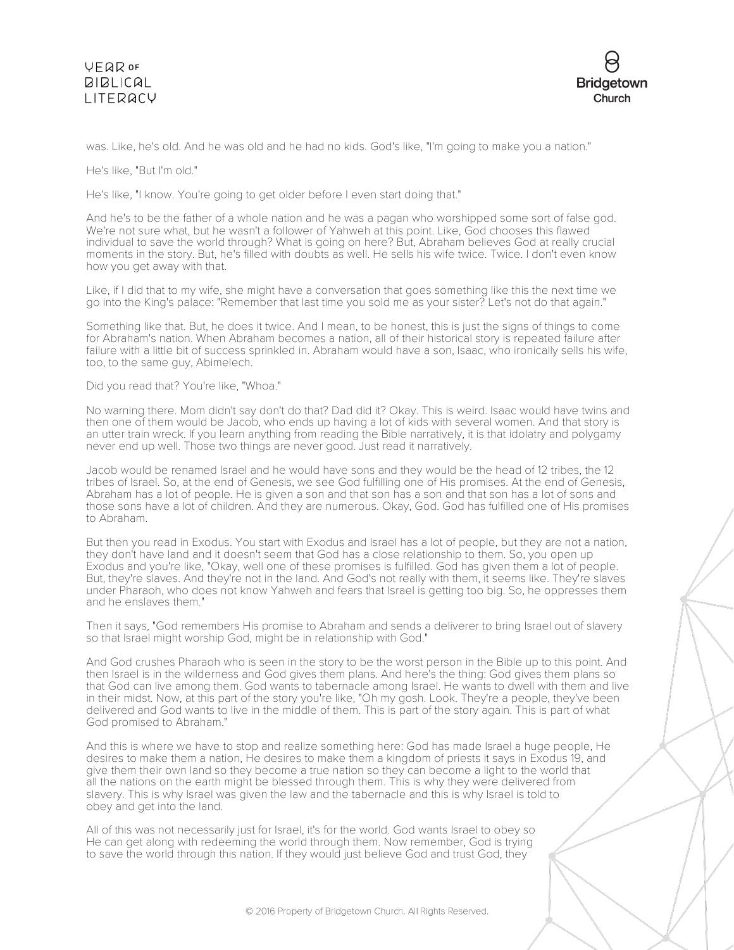

was. Like, he's old. And he was old and he had no kids. God's like, "I'm going to make you a nation."

He's like, "But I'm old."

He's like, "I know. You're going to get older before I even start doing that."

And he's to be the father of a whole nation and he was a pagan who worshipped some sort of false god. We're not sure what, but he wasn't a follower of Yahweh at this point. Like, God chooses this flawed individual to save the world through? What is going on here? But, Abraham believes God at really crucial moments in the story. But, he's filled with doubts as well. He sells his wife twice. Twice. I don't even know how you get away with that.

Like, if I did that to my wife, she might have a conversation that goes something like this the next time we go into the King's palace: "Remember that last time you sold me as your sister? Let's not do that again."

Something like that. But, he does it twice. And I mean, to be honest, this is just the signs of things to come for Abraham's nation. When Abraham becomes a nation, all of their historical story is repeated failure after failure with a little bit of success sprinkled in. Abraham would have a son, Isaac, who ironically sells his wife, too, to the same guy, Abimelech.

Did you read that? You're like, "Whoa."

No warning there. Mom didn't say don't do that? Dad did it? Okay. This is weird. Isaac would have twins and then one of them would be Jacob, who ends up having a lot of kids with several women. And that story is an utter train wreck. If you learn anything from reading the Bible narratively, it is that idolatry and polygamy never end up well. Those two things are never good. Just read it narratively.

Jacob would be renamed Israel and he would have sons and they would be the head of 12 tribes, the 12 tribes of Israel. So, at the end of Genesis, we see God fulfilling one of His promises. At the end of Genesis, Abraham has a lot of people. He is given a son and that son has a son and that son has a lot of sons and those sons have a lot of children. And they are numerous. Okay, God. God has fulfilled one of His promises to Abraham.

But then you read in Exodus. You start with Exodus and Israel has a lot of people, but they are not a nation, they don't have land and it doesn't seem that God has a close relationship to them. So, you open up Exodus and you're like, "Okay, well one of these promises is fulfilled. God has given them a lot of people. But, they're slaves. And they're not in the land. And God's not really with them, it seems like. They're slaves under Pharaoh, who does not know Yahweh and fears that Israel is getting too big. So, he oppresses them and he enslaves them."

Then it says, "God remembers His promise to Abraham and sends a deliverer to bring Israel out of slavery so that Israel might worship God, might be in relationship with God."

And God crushes Pharaoh who is seen in the story to be the worst person in the Bible up to this point. And then Israel is in the wilderness and God gives them plans. And here's the thing: God gives them plans so that God can live among them. God wants to tabernacle among Israel. He wants to dwell with them and live in their midst. Now, at this part of the story you're like, "Oh my gosh. Look. They're a people, they've been delivered and God wants to live in the middle of them. This is part of the story again. This is part of what God promised to Abraham."

And this is where we have to stop and realize something here: God has made Israel a huge people, He desires to make them a nation, He desires to make them a kingdom of priests it says in Exodus 19, and give them their own land so they become a true nation so they can become a light to the world that all the nations on the earth might be blessed through them. This is why they were delivered from slavery. This is why Israel was given the law and the tabernacle and this is why Israel is told to obey and get into the land.

All of this was not necessarily just for Israel, it's for the world. God wants Israel to obey so He can get along with redeeming the world through them. Now remember, God is trying to save the world through this nation. If they would just believe God and trust God, they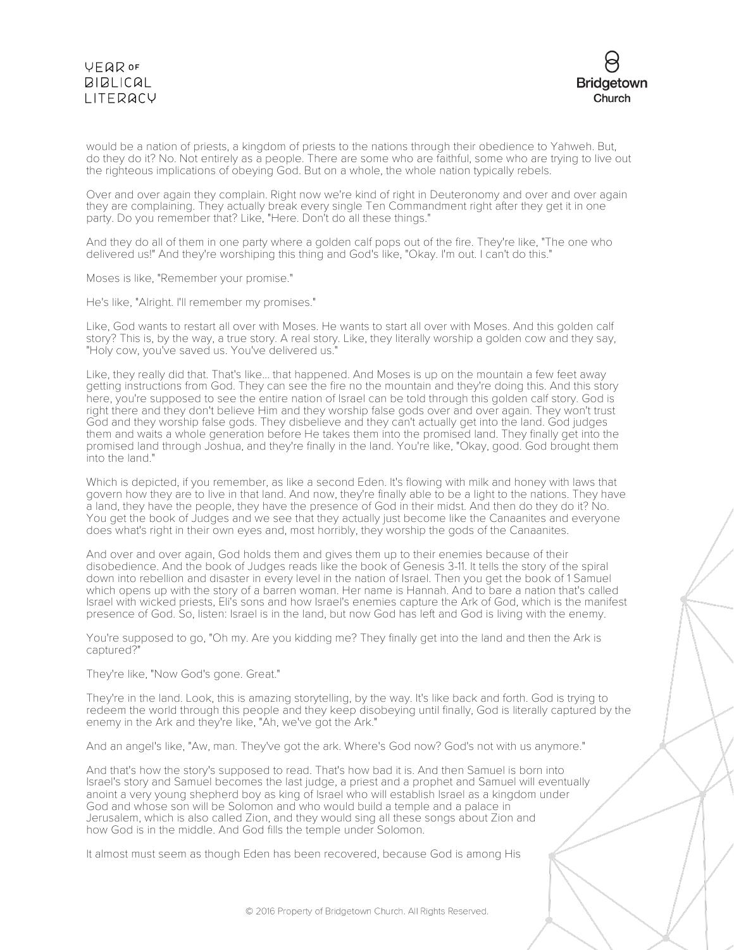

would be a nation of priests, a kingdom of priests to the nations through their obedience to Yahweh. But, do they do it? No. Not entirely as a people. There are some who are faithful, some who are trying to live out the righteous implications of obeying God. But on a whole, the whole nation typically rebels.

Over and over again they complain. Right now we're kind of right in Deuteronomy and over and over again they are complaining. They actually break every single Ten Commandment right after they get it in one party. Do you remember that? Like, "Here. Don't do all these things."

And they do all of them in one party where a golden calf pops out of the fire. They're like, "The one who delivered us!" And they're worshiping this thing and God's like, "Okay. I'm out. I can't do this."

Moses is like, "Remember your promise."

He's like, "Alright. I'll remember my promises."

Like, God wants to restart all over with Moses. He wants to start all over with Moses. And this golden calf story? This is, by the way, a true story. A real story. Like, they literally worship a golden cow and they say, "Holy cow, you've saved us. You've delivered us."

Like, they really did that. That's like... that happened. And Moses is up on the mountain a few feet away getting instructions from God. They can see the fire no the mountain and they're doing this. And this story here, you're supposed to see the entire nation of Israel can be told through this golden calf story. God is right there and they don't believe Him and they worship false gods over and over again. They won't trust God and they worship false gods. They disbelieve and they can't actually get into the land. God judges them and waits a whole generation before He takes them into the promised land. They finally get into the promised land through Joshua, and they're finally in the land. You're like, "Okay, good. God brought them into the land."

Which is depicted, if you remember, as like a second Eden. It's flowing with milk and honey with laws that govern how they are to live in that land. And now, they're finally able to be a light to the nations. They have a land, they have the people, they have the presence of God in their midst. And then do they do it? No. You get the book of Judges and we see that they actually just become like the Canaanites and everyone does what's right in their own eyes and, most horribly, they worship the gods of the Canaanites.

And over and over again, God holds them and gives them up to their enemies because of their disobedience. And the book of Judges reads like the book of Genesis 3-11. It tells the story of the spiral down into rebellion and disaster in every level in the nation of Israel. Then you get the book of 1 Samuel which opens up with the story of a barren woman. Her name is Hannah. And to bare a nation that's called Israel with wicked priests, Eli's sons and how Israel's enemies capture the Ark of God, which is the manifest presence of God. So, listen: Israel is in the land, but now God has left and God is living with the enemy.

You're supposed to go, "Oh my. Are you kidding me? They finally get into the land and then the Ark is captured?"

They're like, "Now God's gone. Great."

They're in the land. Look, this is amazing storytelling, by the way. It's like back and forth. God is trying to redeem the world through this people and they keep disobeying until finally, God is literally captured by the enemy in the Ark and they're like, "Ah, we've got the Ark."

And an angel's like, "Aw, man. They've got the ark. Where's God now? God's not with us anymore."

And that's how the story's supposed to read. That's how bad it is. And then Samuel is born into Israel's story and Samuel becomes the last judge, a priest and a prophet and Samuel will eventually anoint a very young shepherd boy as king of Israel who will establish Israel as a kingdom under God and whose son will be Solomon and who would build a temple and a palace in Jerusalem, which is also called Zion, and they would sing all these songs about Zion and how God is in the middle. And God fills the temple under Solomon.

It almost must seem as though Eden has been recovered, because God is among His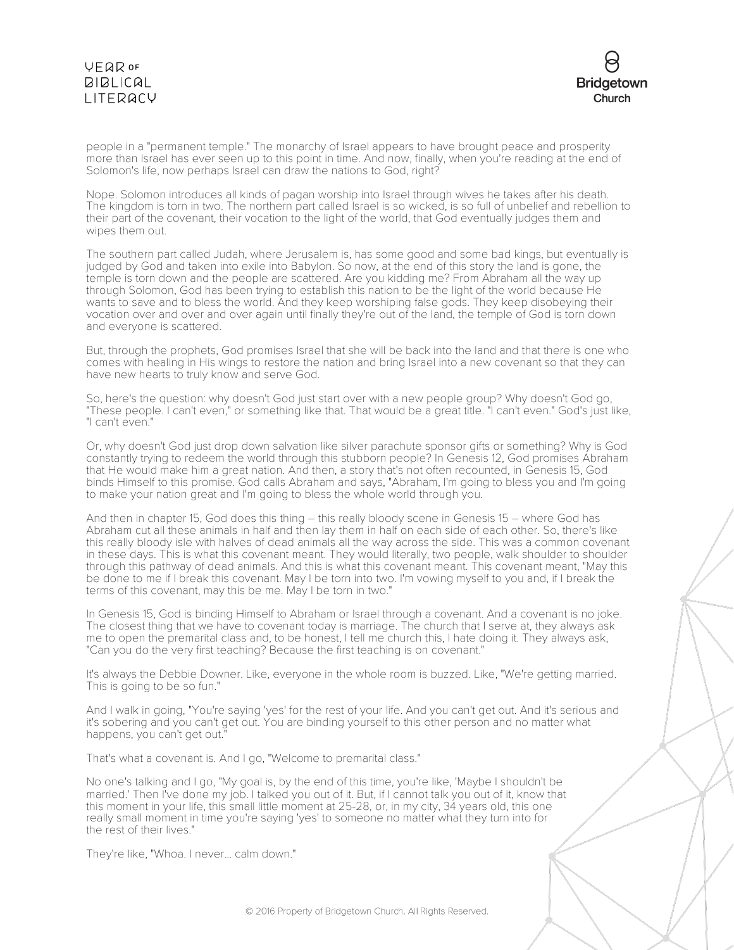

people in a "permanent temple." The monarchy of Israel appears to have brought peace and prosperity more than Israel has ever seen up to this point in time. And now, finally, when you're reading at the end of Solomon's life, now perhaps Israel can draw the nations to God, right?

Nope. Solomon introduces all kinds of pagan worship into Israel through wives he takes after his death. The kingdom is torn in two. The northern part called Israel is so wicked, is so full of unbelief and rebellion to their part of the covenant, their vocation to the light of the world, that God eventually judges them and wipes them out.

The southern part called Judah, where Jerusalem is, has some good and some bad kings, but eventually is judged by God and taken into exile into Babylon. So now, at the end of this story the land is gone, the temple is torn down and the people are scattered. Are you kidding me? From Abraham all the way up through Solomon, God has been trying to establish this nation to be the light of the world because He wants to save and to bless the world. And they keep worshiping false gods. They keep disobeying their vocation over and over and over again until finally they're out of the land, the temple of God is torn down and everyone is scattered.

But, through the prophets, God promises Israel that she will be back into the land and that there is one who comes with healing in His wings to restore the nation and bring Israel into a new covenant so that they can have new hearts to truly know and serve God.

So, here's the question: why doesn't God just start over with a new people group? Why doesn't God go, "These people. I can't even," or something like that. That would be a great title. "I can't even." God's just like, "I can't even."

Or, why doesn't God just drop down salvation like silver parachute sponsor gifts or something? Why is God constantly trying to redeem the world through this stubborn people? In Genesis 12, God promises Abraham that He would make him a great nation. And then, a story that's not often recounted, in Genesis 15, God binds Himself to this promise. God calls Abraham and says, "Abraham, I'm going to bless you and I'm going to make your nation great and I'm going to bless the whole world through you.

And then in chapter 15, God does this thing – this really bloody scene in Genesis 15 – where God has Abraham cut all these animals in half and then lay them in half on each side of each other. So, there's like this really bloody isle with halves of dead animals all the way across the side. This was a common covenant in these days. This is what this covenant meant. They would literally, two people, walk shoulder to shoulder through this pathway of dead animals. And this is what this covenant meant. This covenant meant, "May this be done to me if I break this covenant. May I be torn into two. I'm vowing myself to you and, if I break the terms of this covenant, may this be me. May I be torn in two."

In Genesis 15, God is binding Himself to Abraham or Israel through a covenant. And a covenant is no joke. The closest thing that we have to covenant today is marriage. The church that I serve at, they always ask me to open the premarital class and, to be honest, I tell me church this, I hate doing it. They always ask, "Can you do the very first teaching? Because the first teaching is on covenant."

It's always the Debbie Downer. Like, everyone in the whole room is buzzed. Like, "We're getting married. This is going to be so fun."

And I walk in going, "You're saying 'yes' for the rest of your life. And you can't get out. And it's serious and it's sobering and you can't get out. You are binding yourself to this other person and no matter what happens, you can't get out.

That's what a covenant is. And I go, "Welcome to premarital class."

No one's talking and I go, "My goal is, by the end of this time, you're like, 'Maybe I shouldn't be married.' Then I've done my job. I talked you out of it. But, if I cannot talk you out of it, know that this moment in your life, this small little moment at 25-28, or, in my city, 34 years old, this one really small moment in time you're saying 'yes' to someone no matter what they turn into for the rest of their lives."

They're like, "Whoa. I never... calm down."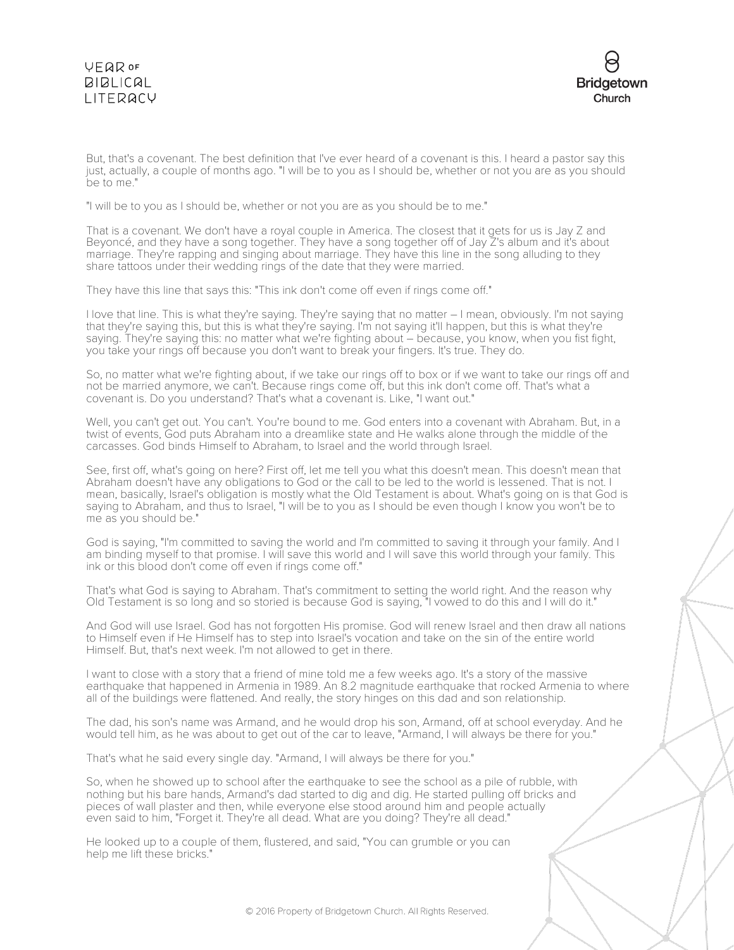

But, that's a covenant. The best definition that I've ever heard of a covenant is this. I heard a pastor say this just, actually, a couple of months ago. "I will be to you as I should be, whether or not you are as you should be to me."

"I will be to you as I should be, whether or not you are as you should be to me."

That is a covenant. We don't have a royal couple in America. The closest that it gets for us is Jay Z and Beyoncé, and they have a song together. They have a song together off of Jay Z's album and it's about marriage. They're rapping and singing about marriage. They have this line in the song alluding to they share tattoos under their wedding rings of the date that they were married.

They have this line that says this: "This ink don't come off even if rings come off."

I love that line. This is what they're saying. They're saying that no matter – I mean, obviously. I'm not saying that they're saying this, but this is what they're saying. I'm not saying it'll happen, but this is what they're saying. They're saying this: no matter what we're fighting about – because, you know, when you fist fight, you take your rings off because you don't want to break your fingers. It's true. They do.

So, no matter what we're fighting about, if we take our rings off to box or if we want to take our rings off and not be married anymore, we can't. Because rings come off, but this ink don't come off. That's what a covenant is. Do you understand? That's what a covenant is. Like, "I want out."

Well, you can't get out. You can't. You're bound to me. God enters into a covenant with Abraham. But, in a twist of events, God puts Abraham into a dreamlike state and He walks alone through the middle of the carcasses. God binds Himself to Abraham, to Israel and the world through Israel.

See, first off, what's going on here? First off, let me tell you what this doesn't mean. This doesn't mean that Abraham doesn't have any obligations to God or the call to be led to the world is lessened. That is not. I mean, basically, Israel's obligation is mostly what the Old Testament is about. What's going on is that God is saying to Abraham, and thus to Israel, "I will be to you as I should be even though I know you won't be to me as you should be."

God is saying, "I'm committed to saving the world and I'm committed to saving it through your family. And I am binding myself to that promise. I will save this world and I will save this world through your family. This ink or this blood don't come off even if rings come off."

That's what God is saying to Abraham. That's commitment to setting the world right. And the reason why Old Testament is so long and so storied is because God is saying, "I vowed to do this and I will do it."

And God will use Israel. God has not forgotten His promise. God will renew Israel and then draw all nations to Himself even if He Himself has to step into Israel's vocation and take on the sin of the entire world Himself. But, that's next week. I'm not allowed to get in there.

I want to close with a story that a friend of mine told me a few weeks ago. It's a story of the massive earthquake that happened in Armenia in 1989. An 8.2 magnitude earthquake that rocked Armenia to where all of the buildings were flattened. And really, the story hinges on this dad and son relationship.

The dad, his son's name was Armand, and he would drop his son, Armand, off at school everyday. And he would tell him, as he was about to get out of the car to leave, "Armand, I will always be there for you."

That's what he said every single day. "Armand, I will always be there for you."

So, when he showed up to school after the earthquake to see the school as a pile of rubble, with nothing but his bare hands, Armand's dad started to dig and dig. He started pulling off bricks and pieces of wall plaster and then, while everyone else stood around him and people actually even said to him, "Forget it. They're all dead. What are you doing? They're all dead."

He looked up to a couple of them, flustered, and said, "You can grumble or you can help me lift these bricks."